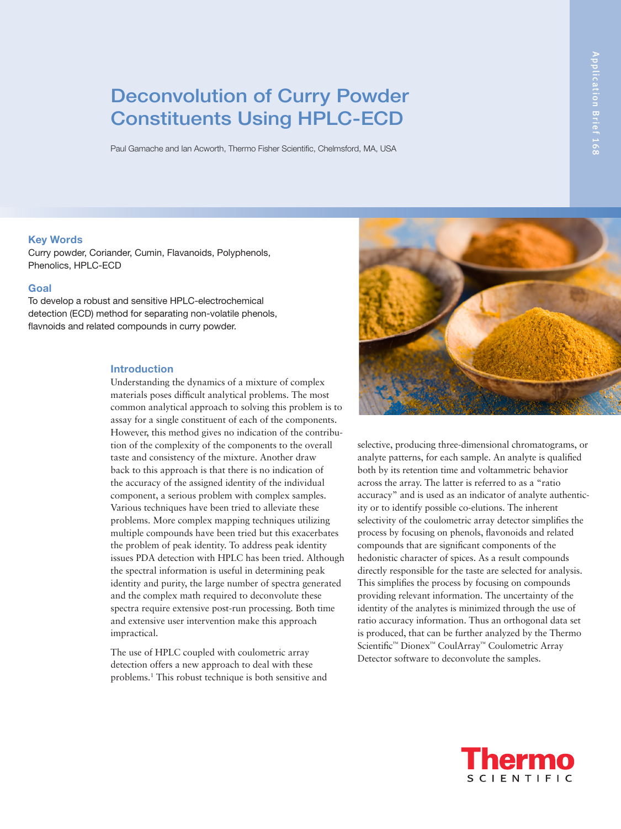# Deconvolution of Curry Powder Constituents Using HPLC-ECD

Paul Gamache and Ian Acworth, Thermo Fisher Scientific, Chelmsford, MA, USA

#### **Key Words**

Curry powder, Coriander, Cumin, Flavanoids, Polyphenols, Phenolics, HPLC-ECD

# **Goal**

To develop a robust and sensitive HPLC-electrochemical detection (ECD) method for separating non-volatile phenols, flavnoids and related compounds in curry powder.

#### **Introduction**

Understanding the dynamics of a mixture of complex materials poses difficult analytical problems. The most common analytical approach to solving this problem is to assay for a single constituent of each of the components. However, this method gives no indication of the contribution of the complexity of the components to the overall taste and consistency of the mixture. Another draw back to this approach is that there is no indication of the accuracy of the assigned identity of the individual component, a serious problem with complex samples. Various techniques have been tried to alleviate these problems. More complex mapping techniques utilizing multiple compounds have been tried but this exacerbates the problem of peak identity. To address peak identity issues PDA detection with HPLC has been tried. Although the spectral information is useful in determining peak identity and purity, the large number of spectra generated and the complex math required to deconvolute these spectra require extensive post-run processing. Both time and extensive user intervention make this approach impractical.

The use of HPLC coupled with coulometric array detection offers a new approach to deal with these problems.1 This robust technique is both sensitive and



selective, producing three-dimensional chromatograms, or analyte patterns, for each sample. An analyte is qualified both by its retention time and voltammetric behavior across the array. The latter is referred to as a "ratio accuracy" and is used as an indicator of analyte authenticity or to identify possible co-elutions. The inherent selectivity of the coulometric array detector simplifies the process by focusing on phenols, flavonoids and related compounds that are significant components of the hedonistic character of spices. As a result compounds directly responsible for the taste are selected for analysis. This simplifies the process by focusing on compounds providing relevant information. The uncertainty of the identity of the analytes is minimized through the use of ratio accuracy information. Thus an orthogonal data set is produced, that can be further analyzed by the Thermo Scientific™ Dionex™ CoulArray™ Coulometric Array Detector software to deconvolute the samples.

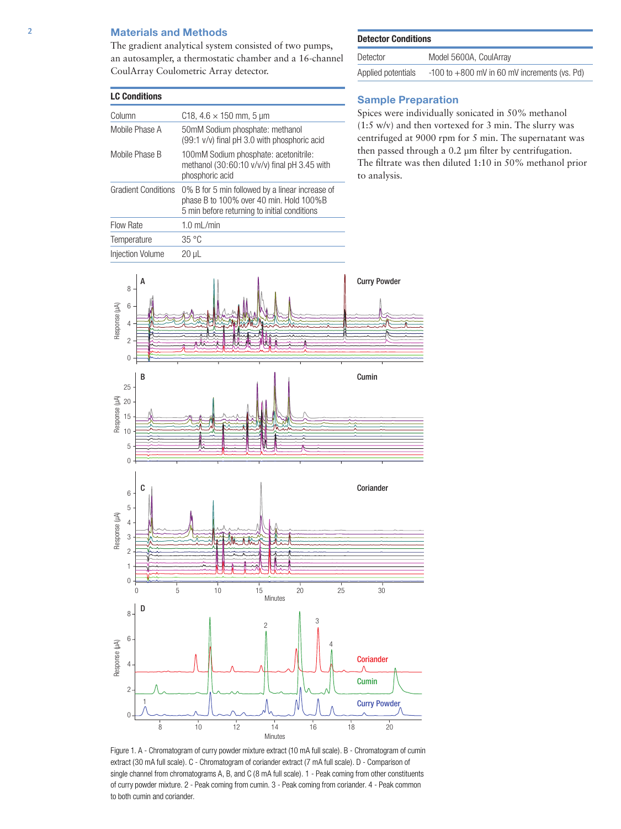#### **Materials and Methods**

The gradient analytical system consisted of two pumps, an autosampler, a thermostatic chamber and a 16-channel CoulArray Coulometric Array detector.

| <b>LC Conditions</b>       |                                                                                                                                            |  |
|----------------------------|--------------------------------------------------------------------------------------------------------------------------------------------|--|
| Column                     | C18, $4.6 \times 150$ mm, 5 µm                                                                                                             |  |
| Mobile Phase A             | 50mM Sodium phosphate: methanol<br>(99:1 v/v) final pH 3.0 with phosphoric acid                                                            |  |
| Mobile Phase B             | 100mM Sodium phosphate: acetonitrile:<br>methanol $(30:60:10 \frac{\nu}{\nu})$ final pH 3.45 with<br>phosphoric acid                       |  |
| <b>Gradient Conditions</b> | 0% B for 5 min followed by a linear increase of<br>phase B to 100% over 40 min. Hold 100%B<br>5 min before returning to initial conditions |  |
| Flow Rate                  | $1.0$ mL/min                                                                                                                               |  |
| Temperature                | 35 °C                                                                                                                                      |  |
| <b>Iniection Volume</b>    | 20 uL                                                                                                                                      |  |



| Detector           | Model 5600A, CoulArray                           |
|--------------------|--------------------------------------------------|
| Applied potentials | $-100$ to $+800$ mV in 60 mV increments (vs. Pd) |

# **Sample Preparation**

Spices were individually sonicated in 50% methanol (1:5 w/v) and then vortexed for 3 min. The slurry was centrifuged at 9000 rpm for 5 min. The supernatant was then passed through a 0.2 µm filter by centrifugation. The filtrate was then diluted 1:10 in 50% methanol prior to analysis.



Figure 1. A - Chromatogram of curry powder mixture extract (10 mA full scale). B - Chromatogram of cumin extract (30 mA full scale). C - Chromatogram of coriander extract (7 mA full scale). D - Comparison of single channel from chromatograms A, B, and C (8 mA full scale). 1 - Peak coming from other constituents of curry powder mixture. 2 - Peak coming from cumin. 3 - Peak coming from coriander. 4 - Peak common to both cumin and coriander.